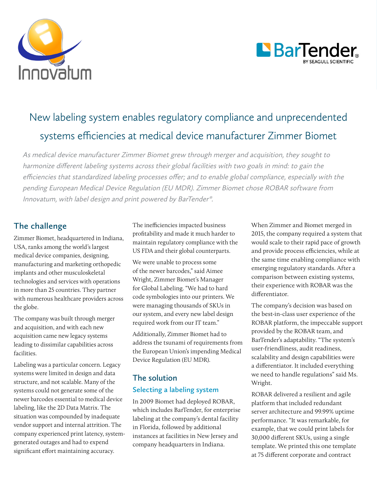



# New labeling system enables regulatory compliance and unprecendented systems efficiencies at medical device manufacturer Zimmer Biomet

As medical device manufacturer Zimmer Biomet grew through merger and acquisition, they sought to harmonize different labeling systems across their global facilities with two goals in mind: to gain the efficiencies that standardized labeling processes offer; and to enable global compliance, especially with the pending European Medical Device Regulation (EU MDR). Zimmer Biomet chose ROBAR software from Innovatum, with label design and print powered by BarTender®.

## **The challenge**

Zimmer Biomet, headquartered in Indiana, USA, ranks among the world's largest medical device companies, designing, manufacturing and marketing orthopedic implants and other musculoskeletal technologies and services with operations in more than 25 countries. They partner with numerous healthcare providers across the globe.

The company was built through merger and acquisition, and with each new acquisition came new legacy systems leading to dissimilar capabilities across facilities.

Labeling was a particular concern. Legacy systems were limited in design and data structure, and not scalable. Many of the systems could not generate some of the newer barcodes essential to medical device labeling, like the 2D Data Matrix. The situation was compounded by inadequate vendor support and internal attrition. The company experienced print latency, systemgenerated outages and had to expend significant effort maintaining accuracy.

The inefficiencies impacted business profitability and made it much harder to maintain regulatory compliance with the US FDA and their global counterparts.

We were unable to process some of the newer barcodes," said Aimee Wright, Zimmer Biomet's Manager for Global Labeling. "We had to hard code symbologies into our printers. We were managing thousands of SKUs in our system, and every new label design required work from our IT team."

Additionally, Zimmer Biomet had to address the tsunami of requirements from the European Union's impending Medical Device Regulation (EU MDR).

## **The solution Selecting a labeling system**

In 2009 Biomet had deployed ROBAR, which includes BarTender, for enterprise labeling at the company's dental facility in Florida, followed by additional instances at facilities in New Jersey and company headquarters in Indiana.

When Zimmer and Biomet merged in 2015, the company required a system that would scale to their rapid pace of growth and provide process efficiencies, while at the same time enabling compliance with emerging regulatory standards. After a comparison between existing systems, their experience with ROBAR was the differentiator.

The company's decision was based on the best-in-class user experience of the ROBAR platform, the impeccable support provided by the ROBAR team, and BarTender's adaptability. "The system's user-friendliness, audit readiness, scalability and design capabilities were a differentiator. It included everything we need to handle regulations" said Ms. Wright.

ROBAR delivered a resilient and agile platform that included redundant server architecture and 99.99% uptime performance. "It was remarkable, for example, that we could print labels for 30,000 different SKUs, using a single template. We printed this one template at 75 different corporate and contract